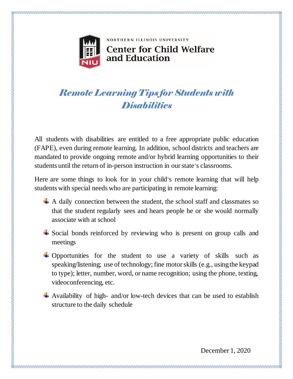

NORTHERN ILLINOIS UNIVERSITY

## **Center for Child Welfare** and Education

## *Remote Learning Tips for Students with Disabilities*

All students with disabilities are entitled to a free appropriate public education (FAPE), even during remote learning. In addition, school districts and teachers are mandated to provide ongoing remote and/or hybrid learning opportunities to their students until the return of in-person instruction in ourstate's classrooms.

Here are some things to look for in your child's remote learning that will help students with special needs who are participating in remote learning:

- $\overline{+}$  A daily connection between the student, the school staff and classmates so that the student regularly sees and hears people he or she would normally associate with at school
- $\overline{\phantom{a}}$  Social bonds reinforced by reviewing who is present on group calls and meetings
- $\overline{\phantom{a}}$  Opportunities for the student to use a variety of skills such as speaking/listening; use of technology; fine motorskills (e.g., usingthe keypad to type); letter, number, word, or name recognition; using the phone, texting, videoconferencing, etc.
- Availability of high- and/or low-tech devices that can be used to establish structure to the daily schedule

December 1, 2020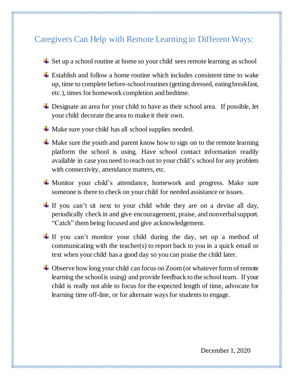## Caregivers Can Help with Remote Learning in Different Ways:

- $\overline{\phantom{a}}$  Set up a school routine at home so your child sees remote learning as school
- $\pm$  Establish and follow a home routine which includes consistent time to wake up, time to complete before-schoolroutines(getting dressed, eatingbreakfast, etc.), times for homework completion and bedtime.
- **↓** Designate an area for your child to have as their school area. If possible, let your child decorate the area to make it their own.
- $\overline{\phantom{a}}$  Make sure your child has all school supplies needed.

- $\overline{\text{}}$  Make sure the youth and parent know how to sign on to the remote learning platform the school is using. Have school contact information readily available in case you need to reach out to your child's school for any problem with connectivity, attendance matters, etc.
- Monitor your child's attendance, homework and progress. Make sure someone is there to check on your child for needed assistance or issues.
- If you can't sit next to your child while they are on a devise all day, periodically check in and give encouragement, praise, and nonverbalsupport. "Catch" them being focused and give acknowledgement.
- $\pm$  If you can't monitor your child during the day, set up a method of communicating with the teacher(s) to report back to you in a quick email or text when your child has a good day so you can praise the child later.
- **↓** Observe how long your child can focus on Zoom (or whatever form of remote learning the schoolis using) and provide feedback to the school team. If your child is really not able to focus for the expected length of time, advocate for learning time off-line, or for alternate ways for students to engage.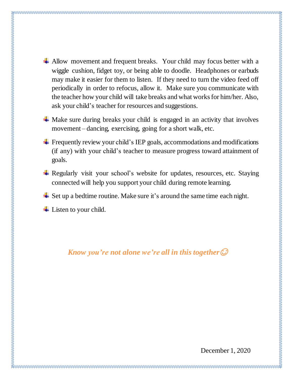- 
- $\overline{\phantom{a} }$  Allow movement and frequent breaks. Your child may focus better with a wiggle cushion, fidget toy, or being able to doodle. Headphones or earbuds may make it easier for them to listen. If they need to turn the video feed off periodically in order to refocus, allow it. Make sure you communicate with the teacher how your child will take breaks and what works for him/her. Also, ask your child's teacher for resources and suggestions.
- $\overline{\phantom{a}}$  Make sure during breaks your child is engaged in an activity that involves movement – dancing, exercising, going for a short walk, etc.
- $\overline{\phantom{a}}$  Frequently review your child's IEP goals, accommodations and modifications (if any) with your child's teacher to measure progress toward attainment of goals.
- $\overline{\text{H}}$  Regularly visit your school's website for updates, resources, etc. Staying connected will help you support your child during remote learning.
- $\overline{\phantom{a}}$  Set up a bedtime routine. Make sure it's around the same time each night.
- $\overline{\phantom{a}}$  Listen to your child.

*Know you're not alone we're all in this together*